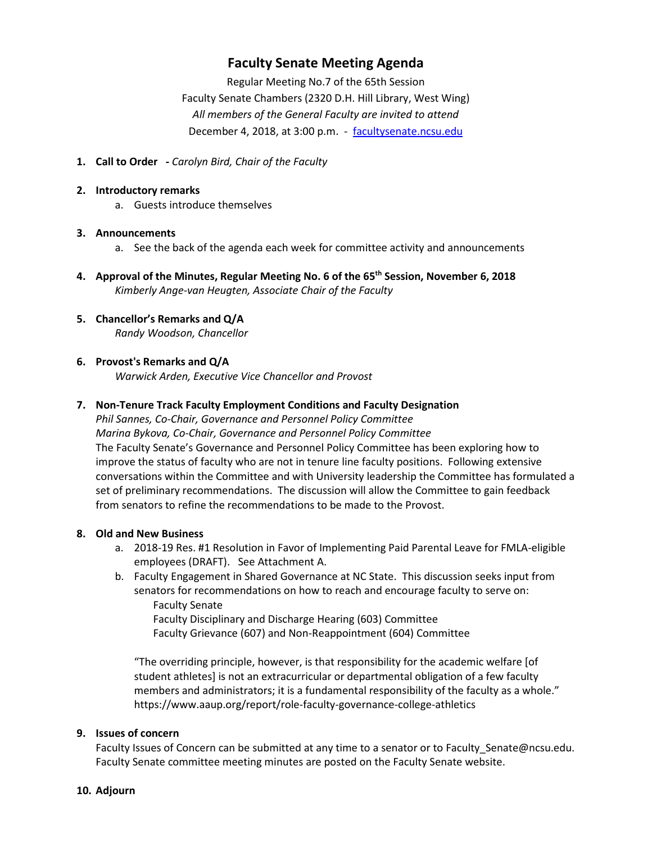## **Faculty Senate Meeting Agenda**

Regular Meeting No.7 of the 65th Session

Faculty Senate Chambers (2320 D.H. Hill Library, West Wing) *All members of the General Faculty are invited to attend* December 4, 2018, at 3:00 p.m. - [facultysenate.ncsu.edu](https://facultysenate.ncsu.edu/)

- **1. Call to Order -** *Carolyn Bird, Chair of the Faculty*
- **2. Introductory remarks**
	- a. Guests introduce themselves

### **3. Announcements**

- a. See the back of the agenda each week for committee activity and announcements
- **4. Approval of the Minutes, Regular Meeting No. 6 of the 65th Session, November 6, 2018** *Kimberly Ange-van Heugten, Associate Chair of the Faculty*
- **5. Chancellor's Remarks and Q/A** *Randy Woodson, Chancellor*

### **6. Provost's Remarks and Q/A**

*Warwick Arden, Executive Vice Chancellor and Provost*

### **7. Non-Tenure Track Faculty Employment Conditions and Faculty Designation**

*Phil Sannes, Co-Chair, Governance and Personnel Policy Committee Marina Bykova, Co-Chair, Governance and Personnel Policy Committee* The Faculty Senate's Governance and Personnel Policy Committee has been exploring how to improve the status of faculty who are not in tenure line faculty positions. Following extensive conversations within the Committee and with University leadership the Committee has formulated a set of preliminary recommendations. The discussion will allow the Committee to gain feedback from senators to refine the recommendations to be made to the Provost.

### **8. Old and New Business**

- a. 2018-19 Res. #1 Resolution in Favor of Implementing Paid Parental Leave for FMLA-eligible employees (DRAFT). See Attachment A.
- b. Faculty Engagement in Shared Governance at NC State. This discussion seeks input from senators for recommendations on how to reach and encourage faculty to serve on: Faculty Senate Faculty Disciplinary and Discharge Hearing (603) Committee Faculty Grievance (607) and Non-Reappointment (604) Committee

"The overriding principle, however, is that responsibility for the academic welfare [of student athletes] is not an extracurricular or departmental obligation of a few faculty members and administrators; it is a fundamental responsibility of the faculty as a whole." https://www.aaup.org/report/role-faculty-governance-college-athletics

### **9. Issues of concern**

Faculty Issues of Concern can be submitted at any time to a senator or to Faculty Senate@ncsu.edu. Faculty Senate committee meeting minutes are posted on the Faculty Senate website.